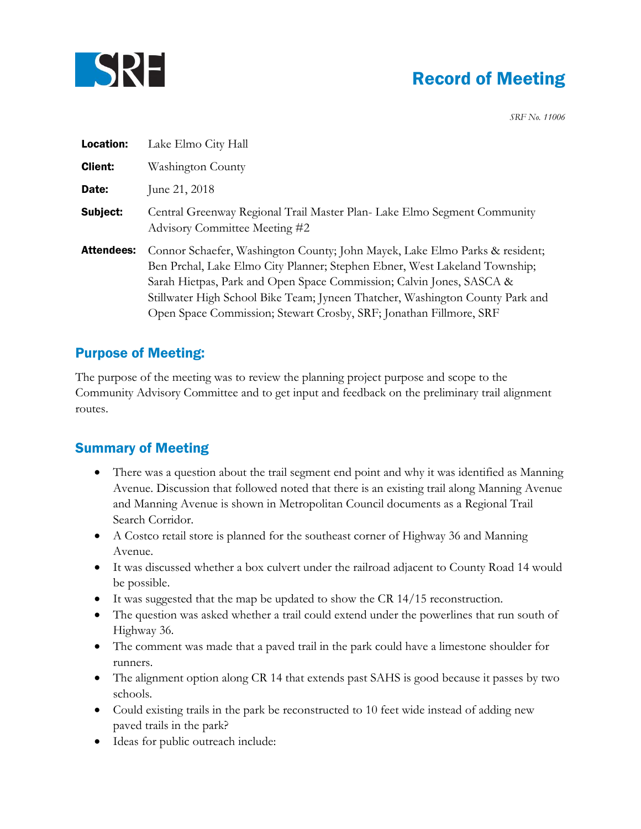

## Record of Meeting

*SRF No. 11006*

| Location:         | Lake Elmo City Hall                                                                                                                                                                                                                                                                                                                                                                      |
|-------------------|------------------------------------------------------------------------------------------------------------------------------------------------------------------------------------------------------------------------------------------------------------------------------------------------------------------------------------------------------------------------------------------|
| <b>Client:</b>    | Washington County                                                                                                                                                                                                                                                                                                                                                                        |
| Date:             | June 21, 2018                                                                                                                                                                                                                                                                                                                                                                            |
| Subject:          | Central Greenway Regional Trail Master Plan- Lake Elmo Segment Community<br>Advisory Committee Meeting #2                                                                                                                                                                                                                                                                                |
| <b>Attendees:</b> | Connor Schaefer, Washington County; John Mayek, Lake Elmo Parks & resident;<br>Ben Prchal, Lake Elmo City Planner; Stephen Ebner, West Lakeland Township;<br>Sarah Hietpas, Park and Open Space Commission; Calvin Jones, SASCA &<br>Stillwater High School Bike Team; Jyneen Thatcher, Washington County Park and<br>Open Space Commission; Stewart Crosby, SRF; Jonathan Fillmore, SRF |

## Purpose of Meeting:

The purpose of the meeting was to review the planning project purpose and scope to the Community Advisory Committee and to get input and feedback on the preliminary trail alignment routes.

## Summary of Meeting

- There was a question about the trail segment end point and why it was identified as Manning Avenue. Discussion that followed noted that there is an existing trail along Manning Avenue and Manning Avenue is shown in Metropolitan Council documents as a Regional Trail Search Corridor.
- A Costco retail store is planned for the southeast corner of Highway 36 and Manning Avenue.
- It was discussed whether a box culvert under the railroad adjacent to County Road 14 would be possible.
- It was suggested that the map be updated to show the CR 14/15 reconstruction.
- The question was asked whether a trail could extend under the powerlines that run south of Highway 36.
- The comment was made that a paved trail in the park could have a limestone shoulder for runners.
- The alignment option along CR 14 that extends past SAHS is good because it passes by two schools.
- Could existing trails in the park be reconstructed to 10 feet wide instead of adding new paved trails in the park?
- Ideas for public outreach include: